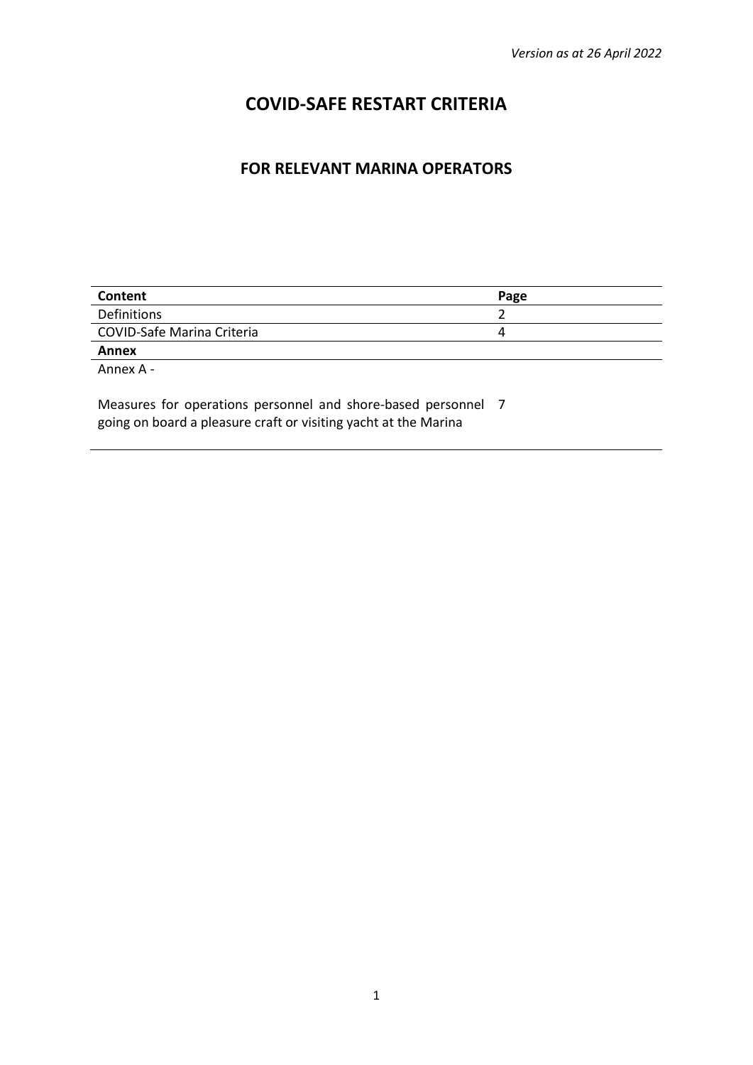# **COVID-SAFE RESTART CRITERIA**

# **FOR RELEVANT MARINA OPERATORS**

| Content                           | Page |
|-----------------------------------|------|
| Definitions                       |      |
| <b>COVID-Safe Marina Criteria</b> |      |
| Annex                             |      |

Annex A -

Measures for operations personnel and shore-based personnel 7going on board a pleasure craft or visiting yacht at the Marina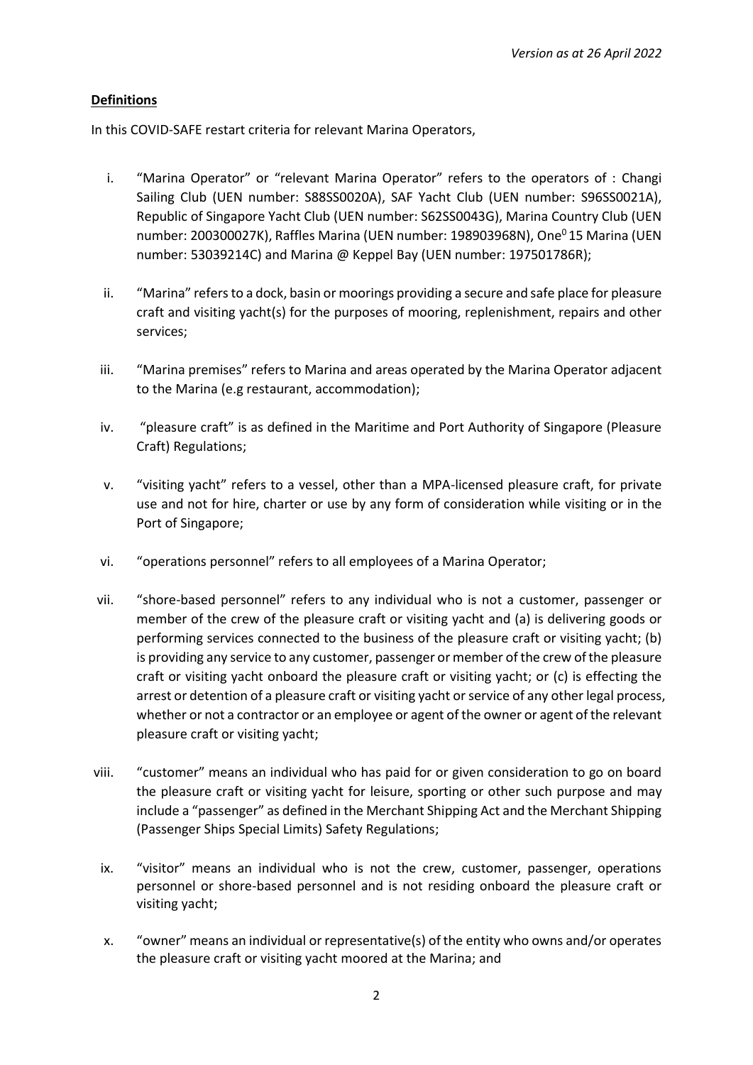# **Definitions**

In this COVID-SAFE restart criteria for relevant Marina Operators,

- i. "Marina Operator" or "relevant Marina Operator" refers to the operators of : Changi Sailing Club (UEN number: S88SS0020A), SAF Yacht Club (UEN number: S96SS0021A), Republic of Singapore Yacht Club (UEN number: S62SS0043G), Marina Country Club (UEN number: 200300027K), Raffles Marina (UEN number: 198903968N), One<sup>0</sup>15 Marina (UEN number: 53039214C) and Marina @ Keppel Bay (UEN number: 197501786R);
- ii. "Marina" refers to a dock, basin or moorings providing a secure and safe place for pleasure craft and visiting yacht(s) for the purposes of mooring, replenishment, repairs and other services;
- iii. "Marina premises" refers to Marina and areas operated by the Marina Operator adjacent to the Marina (e.g restaurant, accommodation);
- iv. "pleasure craft" is as defined in the Maritime and Port Authority of Singapore (Pleasure Craft) Regulations;
- v. "visiting yacht" refers to a vessel, other than a MPA-licensed pleasure craft, for private use and not for hire, charter or use by any form of consideration while visiting or in the Port of Singapore;
- vi. "operations personnel" refers to all employees of a Marina Operator;
- vii. "shore-based personnel" refers to any individual who is not a customer, passenger or member of the crew of the pleasure craft or visiting yacht and (a) is delivering goods or performing services connected to the business of the pleasure craft or visiting yacht; (b) is providing any service to any customer, passenger or member of the crew of the pleasure craft or visiting yacht onboard the pleasure craft or visiting yacht; or (c) is effecting the arrest or detention of a pleasure craft or visiting yacht or service of any other legal process, whether or not a contractor or an employee or agent of the owner or agent of the relevant pleasure craft or visiting yacht;
- viii. "customer" means an individual who has paid for or given consideration to go on board the pleasure craft or visiting yacht for leisure, sporting or other such purpose and may include a "passenger" as defined in the Merchant Shipping Act and the Merchant Shipping (Passenger Ships Special Limits) Safety Regulations;
- ix. "visitor" means an individual who is not the crew, customer, passenger, operations personnel or shore-based personnel and is not residing onboard the pleasure craft or visiting yacht;
- x. "owner" means an individual or representative(s) of the entity who owns and/or operates the pleasure craft or visiting yacht moored at the Marina; and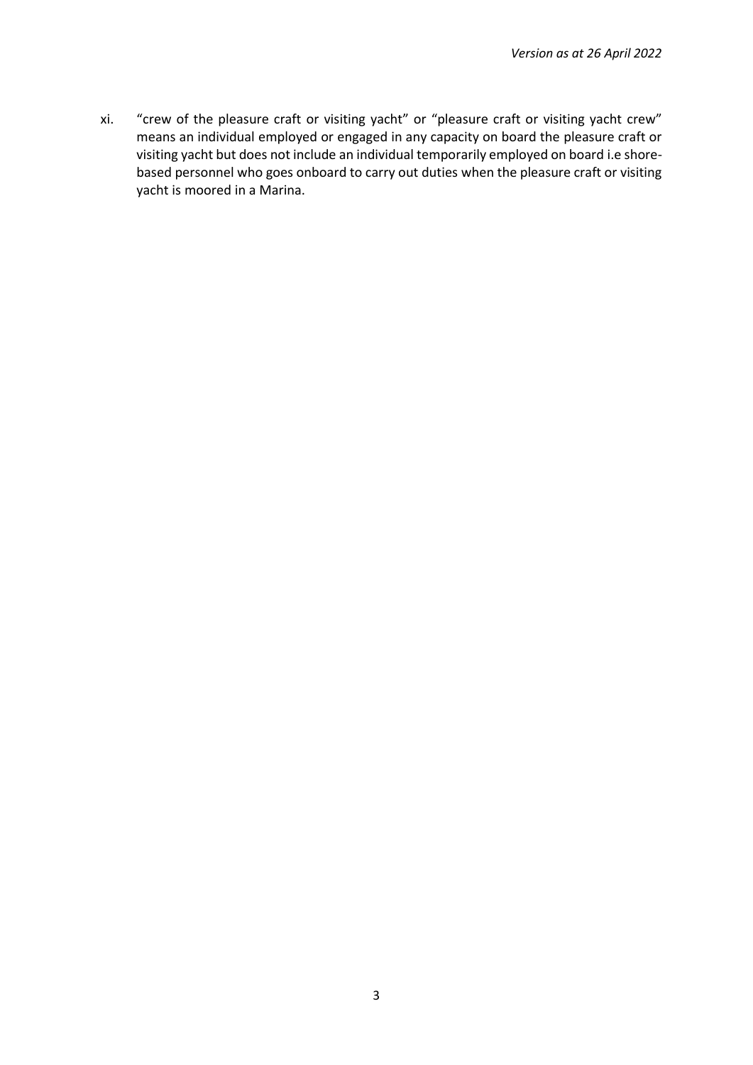xi. "crew of the pleasure craft or visiting yacht" or "pleasure craft or visiting yacht crew" means an individual employed or engaged in any capacity on board the pleasure craft or visiting yacht but does not include an individual temporarily employed on board i.e shorebased personnel who goes onboard to carry out duties when the pleasure craft or visiting yacht is moored in a Marina.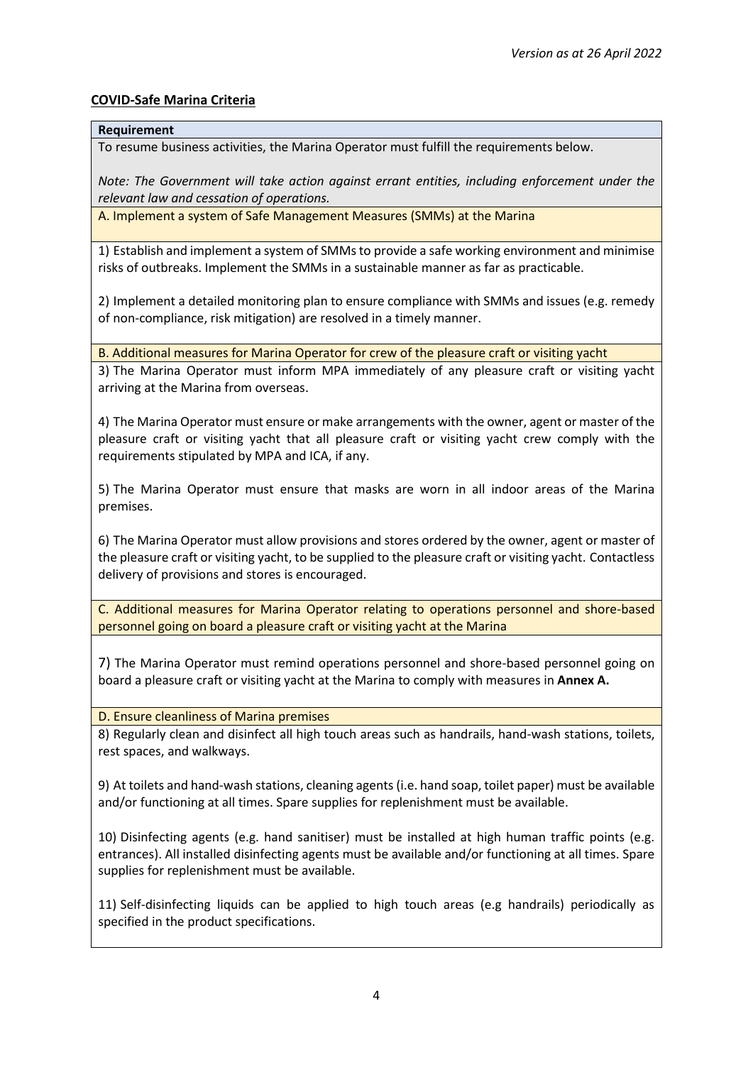## **COVID-Safe Marina Criteria**

#### **Requirement**

To resume business activities, the Marina Operator must fulfill the requirements below.

*Note: The Government will take action against errant entities, including enforcement under the relevant law and cessation of operations.* 

A. Implement a system of Safe Management Measures (SMMs) at the Marina

1) Establish and implement a system of SMMs to provide a safe working environment and minimise risks of outbreaks. Implement the SMMs in a sustainable manner as far as practicable.

2) Implement a detailed monitoring plan to ensure compliance with SMMs and issues (e.g. remedy of non-compliance, risk mitigation) are resolved in a timely manner.

B. Additional measures for Marina Operator for crew of the pleasure craft or visiting yacht

3) The Marina Operator must inform MPA immediately of any pleasure craft or visiting yacht arriving at the Marina from overseas.

4) The Marina Operator must ensure or make arrangements with the owner, agent or master of the pleasure craft or visiting yacht that all pleasure craft or visiting yacht crew comply with the requirements stipulated by MPA and ICA, if any.

5) The Marina Operator must ensure that masks are worn in all indoor areas of the Marina premises.

6) The Marina Operator must allow provisions and stores ordered by the owner, agent or master of the pleasure craft or visiting yacht, to be supplied to the pleasure craft or visiting yacht. Contactless delivery of provisions and stores is encouraged.

C. Additional measures for Marina Operator relating to operations personnel and shore-based personnel going on board a pleasure craft or visiting yacht at the Marina

7) The Marina Operator must remind operations personnel and shore-based personnel going on board a pleasure craft or visiting yacht at the Marina to comply with measures in **Annex A.**

D. Ensure cleanliness of Marina premises

8) Regularly clean and disinfect all high touch areas such as handrails, hand-wash stations, toilets, rest spaces, and walkways.

9) At toilets and hand-wash stations, cleaning agents (i.e. hand soap, toilet paper) must be available and/or functioning at all times. Spare supplies for replenishment must be available.

10) Disinfecting agents (e.g. hand sanitiser) must be installed at high human traffic points (e.g. entrances). All installed disinfecting agents must be available and/or functioning at all times. Spare supplies for replenishment must be available.

11) Self-disinfecting liquids can be applied to high touch areas (e.g handrails) periodically as specified in the product specifications.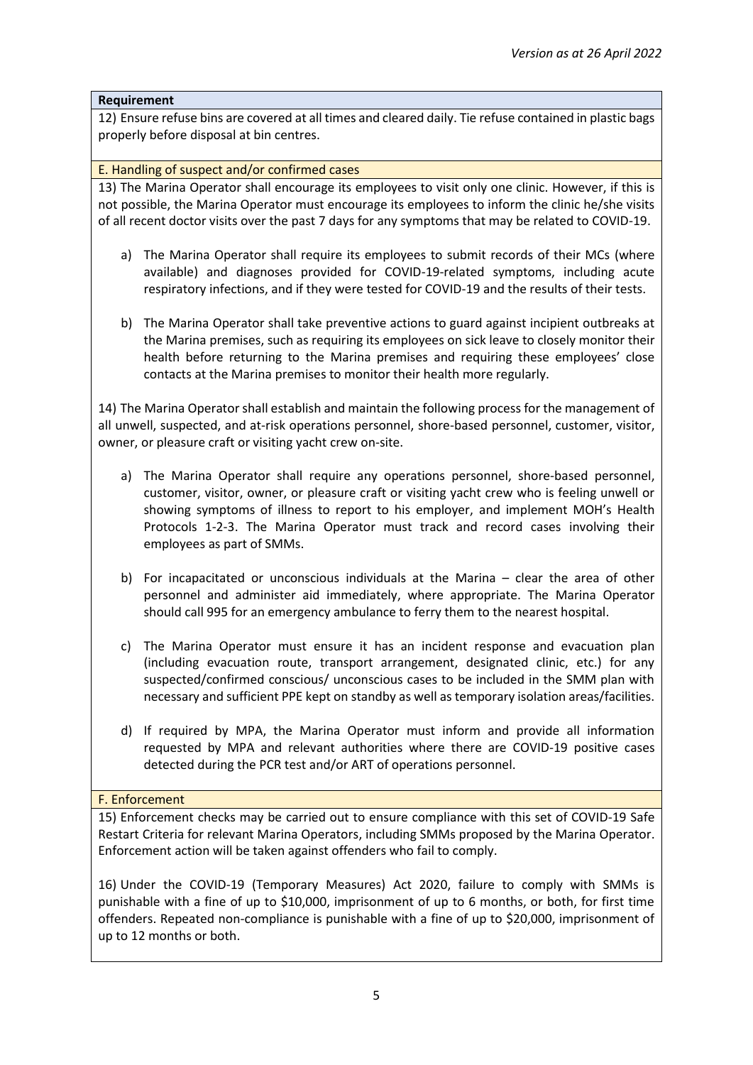# **Requirement**

12) Ensure refuse bins are covered at all times and cleared daily. Tie refuse contained in plastic bags properly before disposal at bin centres.

#### E. Handling of suspect and/or confirmed cases

13) The Marina Operator shall encourage its employees to visit only one clinic. However, if this is not possible, the Marina Operator must encourage its employees to inform the clinic he/she visits of all recent doctor visits over the past 7 days for any symptoms that may be related to COVID-19.

- a) The Marina Operator shall require its employees to submit records of their MCs (where available) and diagnoses provided for COVID-19-related symptoms, including acute respiratory infections, and if they were tested for COVID-19 and the results of their tests.
- b) The Marina Operator shall take preventive actions to guard against incipient outbreaks at the Marina premises, such as requiring its employees on sick leave to closely monitor their health before returning to the Marina premises and requiring these employees' close contacts at the Marina premises to monitor their health more regularly.

14) The Marina Operator shall establish and maintain the following process for the management of all unwell, suspected, and at-risk operations personnel, shore-based personnel, customer, visitor, owner, or pleasure craft or visiting yacht crew on-site.

- a) The Marina Operator shall require any operations personnel, shore-based personnel, customer, visitor, owner, or pleasure craft or visiting yacht crew who is feeling unwell or showing symptoms of illness to report to his employer, and implement MOH's Health Protocols 1-2-3. The Marina Operator must track and record cases involving their employees as part of SMMs.
- b) For incapacitated or unconscious individuals at the Marina clear the area of other personnel and administer aid immediately, where appropriate. The Marina Operator should call 995 for an emergency ambulance to ferry them to the nearest hospital.
- c) The Marina Operator must ensure it has an incident response and evacuation plan (including evacuation route, transport arrangement, designated clinic, etc.) for any suspected/confirmed conscious/ unconscious cases to be included in the SMM plan with necessary and sufficient PPE kept on standby as well as temporary isolation areas/facilities.
- d) If required by MPA, the Marina Operator must inform and provide all information requested by MPA and relevant authorities where there are COVID-19 positive cases detected during the PCR test and/or ART of operations personnel.

#### F. Enforcement

15) Enforcement checks may be carried out to ensure compliance with this set of COVID-19 Safe Restart Criteria for relevant Marina Operators, including SMMs proposed by the Marina Operator. Enforcement action will be taken against offenders who fail to comply.

16) Under the COVID-19 (Temporary Measures) Act 2020, failure to comply with SMMs is punishable with a fine of up to \$10,000, imprisonment of up to 6 months, or both, for first time offenders. Repeated non-compliance is punishable with a fine of up to \$20,000, imprisonment of up to 12 months or both.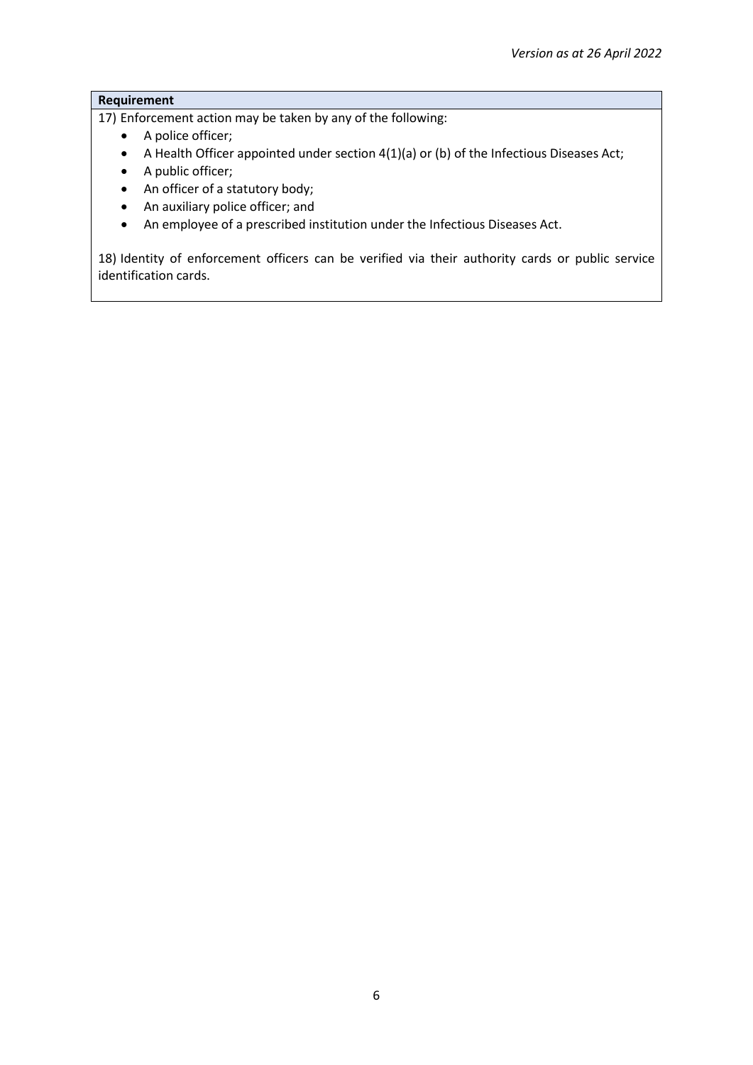# **Requirement**

17) Enforcement action may be taken by any of the following:

- A police officer;
- A Health Officer appointed under section 4(1)(a) or (b) of the Infectious Diseases Act;
- A public officer;
- An officer of a statutory body;
- An auxiliary police officer; and
- An employee of a prescribed institution under the Infectious Diseases Act.

18) Identity of enforcement officers can be verified via their authority cards or public service identification cards.